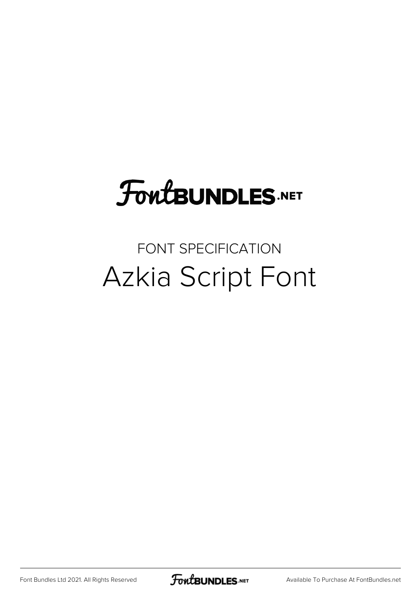## **FoutBUNDLES.NET**

## FONT SPECIFICATION Azkia Script Font

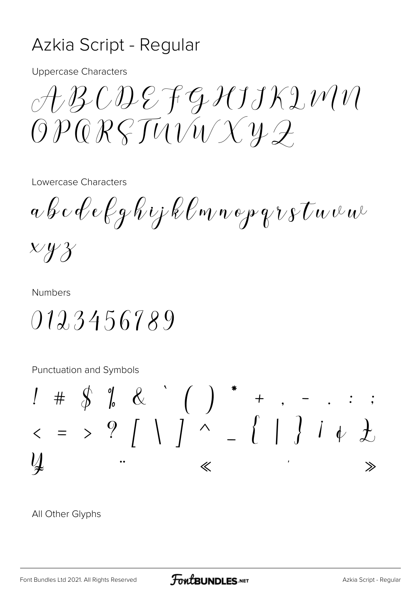## Azkia Script - Regular

**Uppercase Characters** 

 $A\mathcal{B}\mathcal{C}\mathcal{D}\mathcal{E}$  fg  $\mathcal{H}J\mathcal{K}\mathcal{D}\mathcal{W}\mathcal{V}$  $OPQRSTUVXXY2$ 

Lowercase Characters

 $a \not b \not{c} \not c \not{e} \not{e} \not{q} \not{h} \iota_{j} \not{k} \ell$ m n o p q r s  $\tau$ u v u  $\psi$ 

 $x y y$ 

**Numbers** 

0123456789

Punctuation and Symbols

All Other Glyphs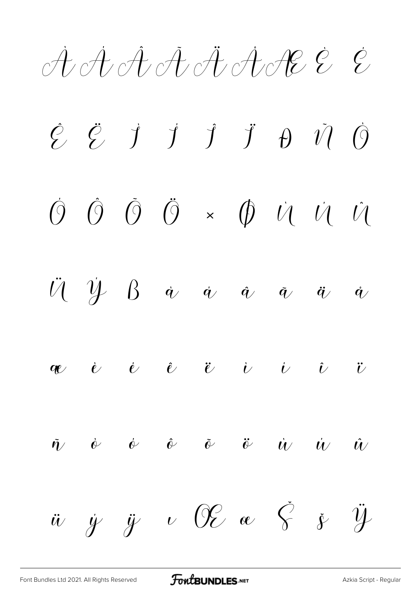AAAAAAACEE

 $\vec{J}$   $\vec{J}$   $\vec{J}$   $\vec{J}$   $\vec{D}$   $\vec{U}$  $\hat{\mathcal{G}}$   $\hat{\mathcal{G}}$  $\dot{O}$  $\tilde{O}$  $\hat{O}$  $\ddot{\theta}$  ×  $\dot{\theta}$   $\dot{\theta}$   $\dot{\theta}$  $\dot{O}$  $\hat{U}$  $\ddot{\mathcal{U}}$  $\dot{\mathcal{Y}}$   $\beta$  $\dot{q}$  $\dot{q}$  $\hat{q}$  $\ddot{q}$  $\tilde{q}$  $\dot{q}$  $\alpha$  è è è ë i i i  $\ddot{\iota}$  $\dot{\phi}$   $\dot{\theta}$   $\ddot{\theta}$   $\ddot{\theta}$  $\tilde{\boldsymbol{\eta}}$   $\phi$  $\dot{u}$  $\dot{u}$  $\hat{U}$  $\psi$  OE oc  $\check{S}$  .  $\check{y}$  $\ddot{\mathcal{Y}}$  $\dot{y}$   $\ddot{y}$  $\ddot{u}$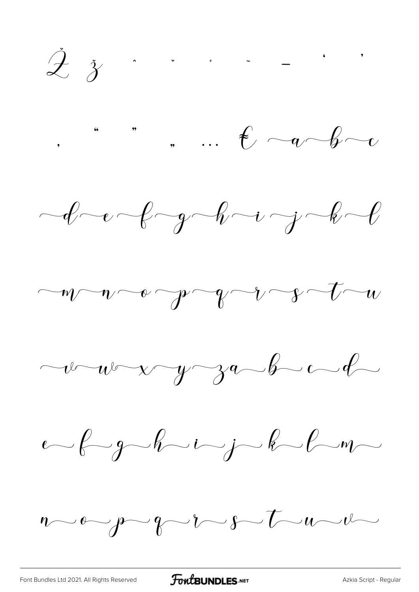$\dot{\mathcal{Z}}$   $\dot{\mathcal{Z}}$  . . . . . .

 $\cdot$  ",  $\cdot$  +  $\cdot$  +  $\cdot$  +  $\cdot$  +  $\cdot$  +  $\cdot$ 







 $\nu$  -  $\nu$  -  $\nu$  -  $\nu$  -  $\nu$  -  $\nu$  -  $\nu$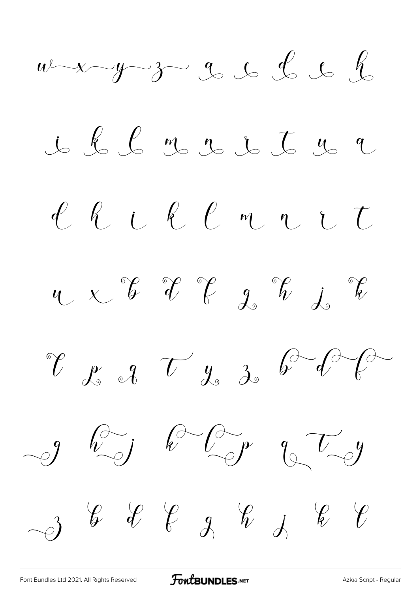$w-x-y-30$  s s s s s <u>i l l m r</u> i t n a Chill rit  $\begin{array}{ccc} \mathcal{C} & \mathcal{E} & \mathcal{J} & \mathcal{U} & \mathcal{J} & \mathcal{J} & \mathcal{V} & \mathcal{J} \end{array}$  $-9$  hij k ligt qui  $-3$  &  $2$   $-3$   $-3$   $-3$   $-3$   $-3$   $-3$   $-3$ 

[Font Bundles Ltd 2021. All Rights Reserved](https://fontbundles.net/) **FoutBUNDLES.NET** [Azkia Script - Regular](https://fontbundles.net/)